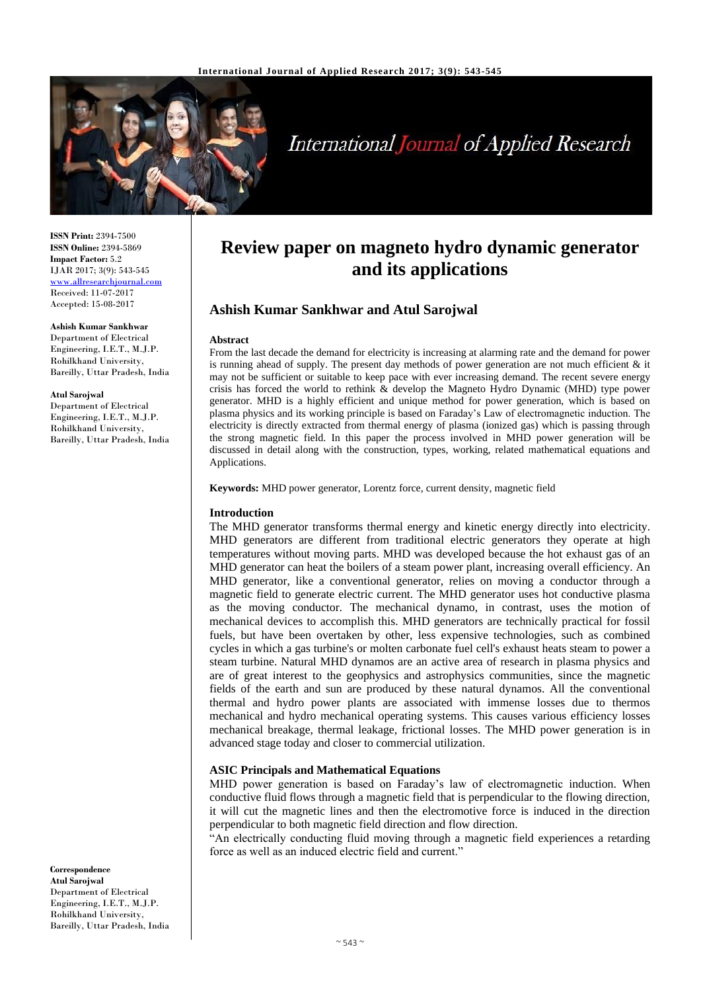

# **International Journal of Applied Research**

**ISSN Print:** 2394-7500 **ISSN Online:** 2394-5869 **Impact Factor:** 5.2 IJAR 2017; 3(9): 543-545 <www.allresearchjournal.com> Received: 11-07-2017 Accepted: 15-08-2017

#### **Ashish Kumar Sankhwar**  Department of Electrical

Engineering, I.E.T., M.J.P. Rohilkhand University, Bareilly, Uttar Pradesh, India

#### **Atul Sarojwal**

Department of Electrical Engineering, I.E.T., M.J.P. Rohilkhand University, Bareilly, Uttar Pradesh, India

#### **Correspondence Atul Sarojwal** Department of Electrical Engineering, I.E.T., M.J.P. Rohilkhand University, Bareilly, Uttar Pradesh, India

## **Review paper on magneto hydro dynamic generator and its applications**

## **Ashish Kumar Sankhwar and Atul Sarojwal**

#### **Abstract**

From the last decade the demand for electricity is increasing at alarming rate and the demand for power is running ahead of supply. The present day methods of power generation are not much efficient & it may not be sufficient or suitable to keep pace with ever increasing demand. The recent severe energy crisis has forced the world to rethink & develop the Magneto Hydro Dynamic (MHD) type power generator. MHD is a highly efficient and unique method for power generation, which is based on plasma physics and its working principle is based on Faraday's Law of electromagnetic induction. The electricity is directly extracted from thermal energy of plasma (ionized gas) which is passing through the strong magnetic field. In this paper the process involved in MHD power generation will be discussed in detail along with the construction, types, working, related mathematical equations and Applications.

**Keywords:** MHD power generator, Lorentz force, current density, magnetic field

## **Introduction**

The MHD generator transforms thermal energy and kinetic energy directly into electricity. MHD generators are different from traditional electric generators they operate at high temperatures without moving parts. MHD was developed because the hot exhaust gas of an MHD generator can heat the boilers of a steam power plant, increasing overall efficiency. An MHD generator, like a conventional generator, relies on moving a conductor through a magnetic field to generate electric current. The MHD generator uses hot conductive plasma as the moving conductor. The mechanical dynamo, in contrast, uses the motion of mechanical devices to accomplish this. MHD generators are technically practical for fossil fuels, but have been overtaken by other, less expensive technologies, such as combined cycles in which a gas turbine's or molten carbonate fuel cell's exhaust heats steam to power a steam turbine. Natural MHD dynamos are an active area of research in plasma physics and are of great interest to the geophysics and astrophysics communities, since the magnetic fields of the earth and sun are produced by these natural dynamos. All the conventional thermal and hydro power plants are associated with immense losses due to thermos mechanical and hydro mechanical operating systems. This causes various efficiency losses mechanical breakage, thermal leakage, frictional losses. The MHD power generation is in advanced stage today and closer to commercial utilization.

## **ASIC Principals and Mathematical Equations**

MHD power generation is based on Faraday's law of electromagnetic induction. When conductive fluid flows through a magnetic field that is perpendicular to the flowing direction, it will cut the magnetic lines and then the electromotive force is induced in the direction perpendicular to both magnetic field direction and flow direction.

"An electrically conducting fluid moving through a magnetic field experiences a retarding force as well as an induced electric field and current."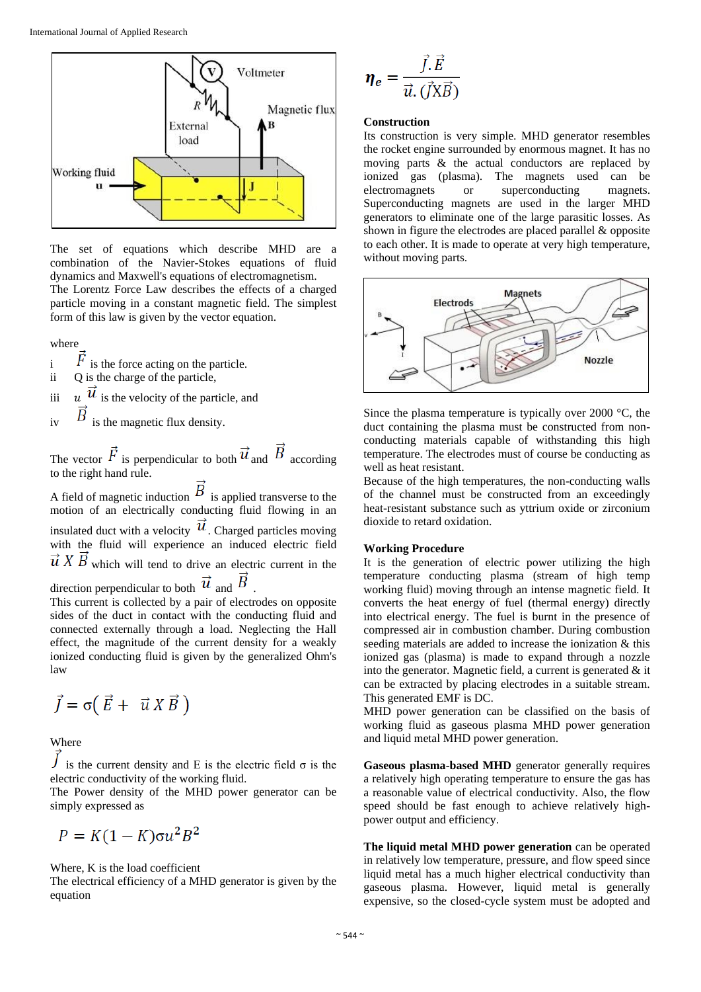

The set of equations which describe MHD are a combination of the Navier-Stokes equations of fluid dynamics and Maxwell's equations of electromagnetism. The Lorentz Force Law describes the effects of a charged particle moving in a constant magnetic field. The simplest form of this law is given by the vector equation.

where

- $\overline{F}$  is the force acting on the particle.
- ii Q is the charge of the particle,

iii  $u \vec{u}$  is the velocity of the particle, and

iv  $\overrightarrow{B}$  is the magnetic flux density.

The vector  $\vec{F}$  is perpendicular to both  $\vec{u}$  and  $\vec{B}$  according to the right hand rule.

A field of magnetic induction  $\overline{B}$  is applied transverse to the motion of an electrically conducting fluid flowing in an insulated duct with a velocity  $\mu$ . Charged particles moving with the fluid will experience an induced electric field  $\vec{u}$  X  $\vec{B}$  which will tend to drive an electric current in the direction perpendicular to both  $\vec{u}$  and  $\vec{B}$ 

This current is collected by a pair of electrodes on opposite sides of the duct in contact with the conducting fluid and connected externally through a load. Neglecting the Hall effect, the magnitude of the current density for a weakly ionized conducting fluid is given by the generalized Ohm's law

$$
\vec{J} = \sigma \left( \vec{E} + \vec{u} \, X \, \vec{B} \, \right)
$$

Where

is the current density and E is the electric field  $\sigma$  is the electric conductivity of the working fluid.

The Power density of the MHD power generator can be simply expressed as

$$
P = K(1 - K)\sigma u^2 B^2
$$

#### Where, K is the load coefficient

The electrical efficiency of a MHD generator is given by the equation

$$
\eta_e = \frac{\vec{J} \cdot \vec{E}}{\vec{u} \cdot (\vec{J} \times \vec{B})}
$$

### **Construction**

Its construction is very simple. MHD generator resembles the rocket engine surrounded by enormous magnet. It has no moving parts & the actual conductors are replaced by ionized gas (plasma). The magnets used can be electromagnets or superconducting magnets. Superconducting magnets are used in the larger MHD generators to eliminate one of the large parasitic losses. As shown in figure the electrodes are placed parallel & opposite to each other. It is made to operate at very high temperature, without moving parts.



Since the plasma temperature is typically over 2000 °C, the duct containing the plasma must be constructed from nonconducting materials capable of withstanding this high temperature. The electrodes must of course be conducting as well as heat resistant.

Because of the high temperatures, the non-conducting walls of the channel must be constructed from an exceedingly heat-resistant substance such as yttrium oxide or zirconium dioxide to retard oxidation.

#### **Working Procedure**

It is the generation of electric power utilizing the high temperature conducting plasma (stream of high temp working fluid) moving through an intense magnetic field. It converts the heat energy of fuel (thermal energy) directly into electrical energy. The fuel is burnt in the presence of compressed air in combustion chamber. During combustion seeding materials are added to increase the ionization & this ionized gas (plasma) is made to expand through a nozzle into the generator. Magnetic field, a current is generated  $\&$  it can be extracted by placing electrodes in a suitable stream. This generated EMF is DC.

MHD power generation can be classified on the basis of working fluid as gaseous plasma MHD power generation and liquid metal MHD power generation.

**Gaseous plasma-based MHD** generator generally requires a relatively high operating temperature to ensure the gas has a reasonable value of electrical conductivity. Also, the flow speed should be fast enough to achieve relatively highpower output and efficiency.

**The liquid metal MHD power generation** can be operated in relatively low temperature, pressure, and flow speed since liquid metal has a much higher electrical conductivity than gaseous plasma. However, liquid metal is generally expensive, so the closed-cycle system must be adopted and